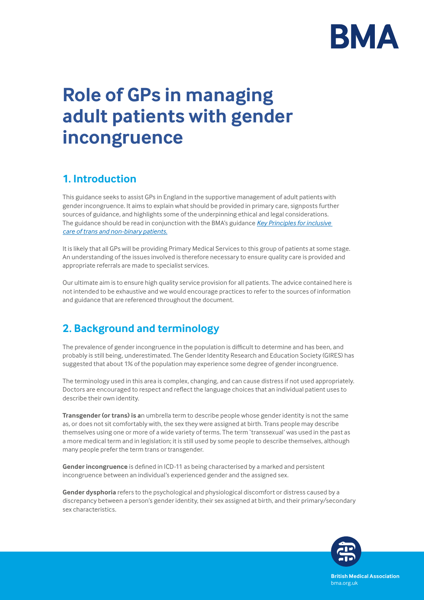

# **Role of GPs in managing adult patients with gender incongruence**

# **1. Introduction**

This guidance seeks to assist GPs in England in the supportive management of adult patients with gender incongruence. It aims to explain what should be provided in primary care, signposts further sources of guidance, and highlights some of the underpinning ethical and legal considerations. The guidance should be read in conjunction with the BMA's guidance *[Key Principles for inclusive](https://www.bma.org.uk/advice-and-support/equality-and-diversity-guidance/lgbtplus-equality-in-medicine/inclusive-care-of-trans-and-non-binary-patients)  [care of trans and non-binary patients.](https://www.bma.org.uk/advice-and-support/equality-and-diversity-guidance/lgbtplus-equality-in-medicine/inclusive-care-of-trans-and-non-binary-patients)*

It is likely that all GPs will be providing Primary Medical Services to this group of patients at some stage. An understanding of the issues involved is therefore necessary to ensure quality care is provided and appropriate referrals are made to specialist services.

Our ultimate aim is to ensure high quality service provision for all patients. The advice contained here is not intended to be exhaustive and we would encourage practices to refer to the sources of information and guidance that are referenced throughout the document.

# **2. Background and terminology**

The prevalence of gender incongruence in the population is difficult to determine and has been, and probably is still being, underestimated. The Gender Identity Research and Education Society (GIRES) has suggested that about 1% of the population may experience some degree of gender incongruence.

The terminology used in this area is complex, changing, and can cause distress if not used appropriately. Doctors are encouraged to respect and reflect the language choices that an individual patient uses to describe their own identity.

**Transgender (or trans) is a**n umbrella term to describe people whose gender identity is not the same as, or does not sit comfortably with, the sex they were assigned at birth. Trans people may describe themselves using one or more of a wide variety of terms. The term 'transsexual' was used in the past as a more medical term and in legislation; it is still used by some people to describe themselves, although many people prefer the term trans or transgender.

**Gender incongruence** is defined in ICD-11 as being characterised by a marked and persistent incongruence between an individual's experienced gender and the assigned sex.

**Gender dysphoria** refers to the psychological and physiological discomfort or distress caused by a discrepancy between a person's gender identity, their sex assigned at birth, and their primary/secondary sex characteristics.



**British Medical Association** bma.org.uk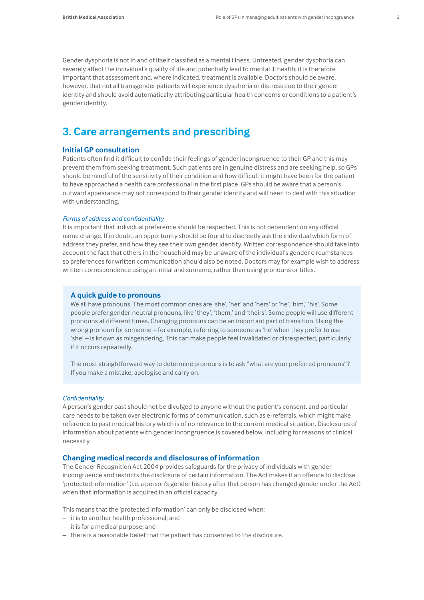Gender dysphoria is not in and of itself classified as a mental illness. Untreated, gender dysphoria can severely affect the individual's quality of life and potentially lead to mental ill health; it is therefore important that assessment and, where indicated, treatment is available. Doctors should be aware, however, that not all transgender patients will experience dysphoria or distress due to their gender identity and should avoid automatically attributing particular health concerns or conditions to a patient's gender identity.

# **3. Care arrangements and prescribing**

# **Initial GP consultation**

Patients often find it difficult to confide their feelings of gender incongruence to their GP and this may prevent them from seeking treatment. Such patients are in genuine distress and are seeking help, so GPs should be mindful of the sensitivity of their condition and how difficult it might have been for the patient to have approached a health care professional in the first place. GPs should be aware that a person's outward appearance may not correspond to their gender identity and will need to deal with this situation with understanding.

#### *Forms of address and confidentiality*

It is important that individual preference should be respected. This is not dependent on any official name change. If in doubt, an opportunity should be found to discreetly ask the individual which form of address they prefer, and how they see their own gender identity. Written correspondence should take into account the fact that others in the household may be unaware of the individual's gender circumstances so preferences for written communication should also be noted. Doctors may for example wish to address written correspondence using an initial and surname, rather than using pronouns or titles.

### **A quick guide to pronouns**

We all have pronouns. The most common ones are 'she', 'her' and 'hers' or 'he', 'him,' 'his'. Some people prefer gender-neutral pronouns, like 'they', 'them,' and 'theirs'. Some people will use different pronouns at different times. Changing pronouns can be an important part of transition. Using the wrong pronoun for someone – for example, referring to someone as 'he' when they prefer to use 'she' – is known as misgendering. This can make people feel invalidated or disrespected, particularly if it occurs repeatedly.

The most straightforward way to determine pronouns is to ask "what are your preferred pronouns"? If you make a mistake, apologise and carry on.

#### *Confidentiality*

A person's gender past should not be divulged to anyone without the patient's consent, and particular care needs to be taken over electronic forms of communication, such as e-referrals, which might make reference to past medical history which is of no relevance to the current medical situation. Disclosures of information about patients with gender incongruence is covered below, including for reasons of clinical necessity.

#### **Changing medical records and disclosures of information**

The Gender Recognition Act 2004 provides safeguards for the privacy of individuals with gender incongruence and restricts the disclosure of certain information. The Act makes it an offence to disclose 'protected information' (i.e. a person's gender history after that person has changed gender under the Act) when that information is acquired in an official capacity.

This means that the 'protected information' can only be disclosed when:

- it is to another health professional; and
- it is for a medical purpose; and
- there is a reasonable belief that the patient has consented to the disclosure.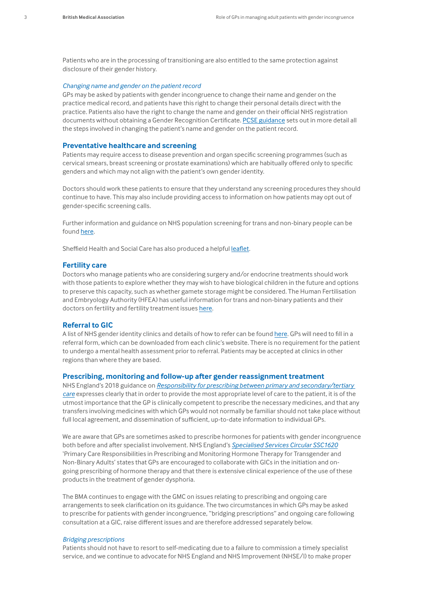Patients who are in the processing of transitioning are also entitled to the same protection against disclosure of their gender history.

#### *Changing name and gender on the patient record*

GPs may be asked by patients with gender incongruence to change their name and gender on the practice medical record, and patients have this right to change their personal details direct with the practice. Patients also have the right to change the name and gender on their official NHS registration documents without obtaining a Gender Recognition Certificate. [PCSE guidance](https://pcse.england.nhs.uk/help/patient-registrations/adoption-and-gender-re-assignment-processes/) sets out in more detail all the steps involved in changing the patient's name and gender on the patient record.

#### **Preventative healthcare and screening**

Patients may require access to disease prevention and organ specific screening programmes (such as cervical smears, breast screening or prostate examinations) which are habitually offered only to specific genders and which may not align with the patient's own gender identity.

Doctors should work these patients to ensure that they understand any screening procedures they should continue to have. This may also include providing access to information on how patients may opt out of gender-specific screening calls.

Further information and guidance on NHS population screening for trans and non-binary people can be found [here.](https://www.gov.uk/government/publications/nhs-population-screening-information-for-transgender-people/nhs-population-screening-information-for-trans-people)

Sheffield Health and Social Care has also produced a helpful [leaflet](https://www.shsc.nhs.uk/sites/default/files/2019-12/Screening_for_trans_and_non-binary_people_Sept_2019-1.pdf).

#### **Fertility care**

Doctors who manage patients who are considering surgery and/or endocrine treatments should work with those patients to explore whether they may wish to have biological children in the future and options to preserve this capacity, such as whether gamete storage might be considered. The Human Fertilisation and Embryology Authority (HFEA) has useful information for trans and non-binary patients and their doctors on fertility and fertility treatment issues [here](https://www.hfea.gov.uk/treatments/fertility-preservation/information-for-trans-and-non-binary-people-seeking-fertility-treatment/).

#### **Referral to GIC**

A list of NHS gender identity clinics and details of how to refer can be found [here](https://www.nhs.uk/live-well/healthy-body/how-to-find-an-nhs-gender-identity-clinic/). GPs will need to fill in a referral form, which can be downloaded from each clinic's website. There is no requirement for the patient to undergo a mental health assessment prior to referral. Patients may be accepted at clinics in other regions than where they are based.

### **Prescribing, monitoring and follow-up after gender reassignment treatment**

NHS England's 2018 guidance on *[Responsibility for prescribing between primary and secondary/tertiary](https://www.england.nhs.uk/publication/responsibility-for-prescribing-between-primary-and-secondary-tertiary-care/)  [care](https://www.england.nhs.uk/publication/responsibility-for-prescribing-between-primary-and-secondary-tertiary-care/)* expresses clearly that in order to provide the most appropriate level of care to the patient, it is of the utmost importance that the GP is clinically competent to prescribe the necessary medicines, and that any transfers involving medicines with which GPs would not normally be familiar should not take place without full local agreement, and dissemination of sufficient, up-to-date information to individual GPs.

We are aware that GPs are sometimes asked to prescribe hormones for patients with gender incongruence both before and after specialist involvement. NHS England's *[Specialised Services Circular SSC1620](https://www.dpt.nhs.uk/download/Ote2T8sczT)* 'Primary Care Responsibilities in Prescribing and Monitoring Hormone Therapy for Transgender and Non-Binary Adults' states that GPs are encouraged to collaborate with GICs in the initiation and ongoing prescribing of hormone therapy and that there is extensive clinical experience of the use of these products in the treatment of gender dysphoria.

The BMA continues to engage with the GMC on issues relating to prescribing and ongoing care arrangements to seek clarification on its guidance. The two circumstances in which GPs may be asked to prescribe for patients with gender incongruence, "bridging prescriptions" and ongoing care following consultation at a GIC, raise different issues and are therefore addressed separately below.

#### *Bridging prescriptions*

Patients should not have to resort to self-medicating due to a failure to commission a timely specialist service, and we continue to advocate for NHS England and NHS Improvement (NHSE/I) to make proper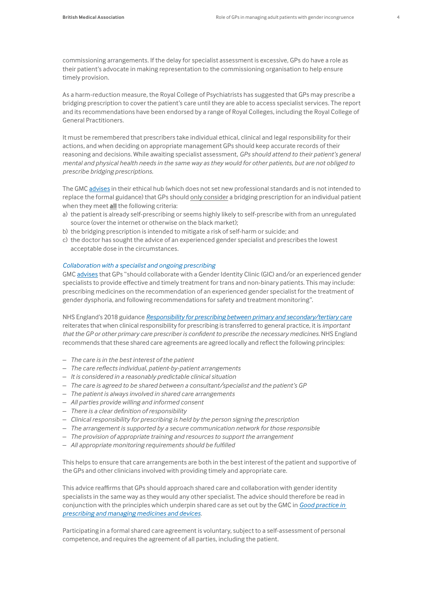commissioning arrangements. If the delay for specialist assessment is excessive, GPs do have a role as their patient's advocate in making representation to the commissioning organisation to help ensure timely provision*.*

As a harm-reduction measure, the Royal College of Psychiatrists has suggested that GPs may prescribe a bridging prescription to cover the patient's care until they are able to access specialist services. The report and its recommendations have been endorsed by a range of Royal Colleges, including the Royal College of General Practitioners.

It must be remembered that prescribers take individual ethical, clinical and legal responsibility for their actions, and when deciding on appropriate management GPs should keep accurate records of their reasoning and decisions. While awaiting specialist assessment, *GPs should attend to their patient's general mental and physical health needs in the same way as they would for other patients, but are not obliged to prescribe bridging prescriptions.*

The GMC advises in their ethical hub (which does not set new professional standards and is not intended to replace the formal guidance) that GPs should only consider a bridging prescription for an individual patient when they meet **all** the following criteria:

- a) the patient is already self-prescribing or seems highly likely to self-prescribe with from an unregulated source (over the internet or otherwise on the black market);
- b) the bridging prescription is intended to mitigate a risk of self-harm or suicide; and
- c) the doctor has sought the advice of an experienced gender specialist and prescribes the lowest acceptable dose in the circumstances.

#### *Collaboration with a specialist and ongoing prescribing*

GMC advises that GPs "should collaborate with a Gender Identity Clinic (GIC) and/or an experienced gender specialists to provide effective and timely treatment for trans and non-binary patients. This may include: prescribing medicines on the recommendation of an experienced gender specialist for the treatment of gender dysphoria, and following recommendations for safety and treatment monitoring".

NHS England's 2018 guidance *[Responsibility for prescribing between primary and secondary/tertiary care](https://www.england.nhs.uk/publication/responsibility-for-prescribing-between-primary-and-secondary-tertiary-care/)* reiterates that when clinical responsibility for prescribing is transferred to general practice, it is *important that the GP or other primary care prescriber is confident to prescribe the necessary medicines*. NHS England recommends that these shared care agreements are agreed locally and reflect the following principles:

- *The care is in the best interest of the patient*
- *The care reflects individual, patient-by-patient arrangements*
- *It is considered in a reasonably predictable clinical situation*
- *The care is agreed to be shared between a consultant/specialist and the patient's GP*
- *The patient is always involved in shared care arrangements*
- *All parties provide willing and informed consent*
- *There is a clear definition of responsibility*
- *Clinical responsibility for prescribing is held by the person signing the prescription*
- *The arrangement is supported by a secure communication network for those responsible*
- *The provision of appropriate training and resources to support the arrangement*
- *All appropriate monitoring requirements should be fulfilled*

This helps to ensure that care arrangements are both in the best interest of the patient and supportive of the GPs and other clinicians involved with providing timely and appropriate care.

This advice reaffirms that GPs should approach shared care and collaboration with gender identity specialists in the same way as they would any other specialist. The advice should therefore be read in conjunction with the principles which underpin shared care as set out by the GMC in *[Good practice in](https://www.gmc-uk.org/ethical-guidance/ethical-guidance-for-doctors/good-practice-in-prescribing-and-managing-medicines-and-devices)  [prescribing and managing medicines and devices](https://www.gmc-uk.org/ethical-guidance/ethical-guidance-for-doctors/good-practice-in-prescribing-and-managing-medicines-and-devices)*.

Participating in a formal shared care agreement is voluntary, subject to a self-assessment of personal competence, and requires the agreement of all parties, including the patient.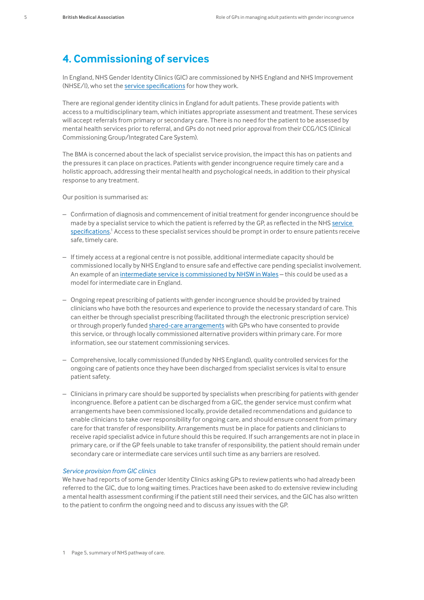# **4. Commissioning of services**

In England, NHS Gender Identity Clinics (GIC) are commissioned by NHS England and NHS Improvement (NHSE/I), who set the [service specifications](https://www.england.nhs.uk/commissioning/spec-services/npc-crg/gender-dysphoria-clinical-programme/) for how they work.

There are regional gender identity clinics in England for adult patients. These provide patients with access to a multidisciplinary team, which initiates appropriate assessment and treatment. These services will accept referrals from primary or secondary care. There is no need for the patient to be assessed by mental health services prior to referral, and GPs do not need prior approval from their CCG/ICS (Clinical Commissioning Group/Integrated Care System).

The BMA is concerned about the lack of specialist service provision, the impact this has on patients and the pressures it can place on practices. Patients with gender incongruence require timely care and a holistic approach, addressing their mental health and psychological needs, in addition to their physical response to any treatment.

Our position is summarised as:

- Confirmation of diagnosis and commencement of initial treatment for gender incongruence should be made by a specialist service to which the patient is referred by the GP, as reflected in the NHS [service](https://www.england.nhs.uk/wp-content/uploads/2019/07/service-specification-gender-dysphoria-services-non-surgical-june-2019.pdf)  [specifications](https://www.england.nhs.uk/wp-content/uploads/2019/07/service-specification-gender-dysphoria-services-non-surgical-june-2019.pdf).<sup>1</sup> Access to these specialist services should be prompt in order to ensure patients receive safe, timely care.
- If timely access at a regional centre is not possible, additional intermediate capacity should be commissioned locally by NHS England to ensure safe and effective care pending specialist involvement. An example of an [intermediate service is commissioned by NHSW in Wales](http://www.whssc.wales.nhs.uk/sitesplus/documents/1119/CP182b%20Gender%20Identity%20Service%20for%20Adults%20%28non%20surgical%29%20Spec%20V1.0%20SEPT.pdf) - this could be used as a model for intermediate care in England.
- Ongoing repeat prescribing of patients with gender incongruence should be provided by trained clinicians who have both the resources and experience to provide the necessary standard of care. This can either be through specialist prescribing (facilitated through the electronic prescription service) or through properly funded [shared-care arrangements](https://www.england.nhs.uk/publication/responsibility-for-prescribing-between-primary-and-secondary-tertiary-care/) with GPs who have consented to provide this service, or through locally commissioned alternative providers within primary care. For more information, see our statement commissioning services.
- Comprehensive, locally commissioned (funded by NHS England), quality controlled services for the ongoing care of patients once they have been discharged from specialist services is vital to ensure patient safety.
- Clinicians in primary care should be supported by specialists when prescribing for patients with gender incongruence. Before a patient can be discharged from a GIC, the gender service must confirm what arrangements have been commissioned locally, provide detailed recommendations and guidance to enable clinicians to take over responsibility for ongoing care, and should ensure consent from primary care for that transfer of responsibility. Arrangements must be in place for patients and clinicians to receive rapid specialist advice in future should this be required. If such arrangements are not in place in primary care, or if the GP feels unable to take transfer of responsibility, the patient should remain under secondary care or intermediate care services until such time as any barriers are resolved.

### *Service provision from GIC clinics*

We have had reports of some Gender Identity Clinics asking GPs to review patients who had already been referred to the GIC, due to long waiting times. Practices have been asked to do extensive review including a mental health assessment confirming if the patient still need their services, and the GIC has also written to the patient to confirm the ongoing need and to discuss any issues with the GP.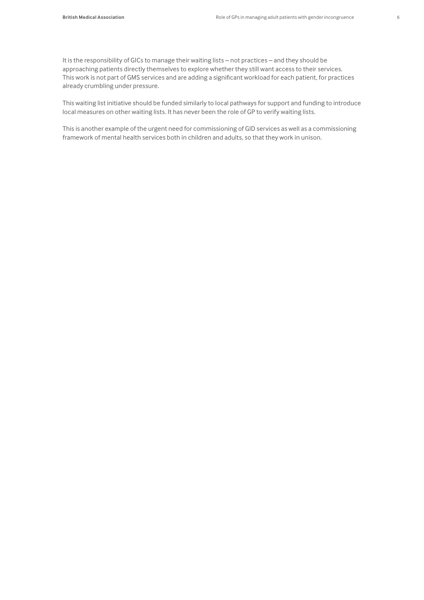It is the responsibility of GICs to manage their waiting lists – not practices – and they should be approaching patients directly themselves to explore whether they still want access to their services. This work is not part of GMS services and are adding a significant workload for each patient, for practices already crumbling under pressure.

This waiting list initiative should be funded similarly to local pathways for support and funding to introduce local measures on other waiting lists. It has never been the role of GP to verify waiting lists.

This is another example of the urgent need for commissioning of GID services as well as a commissioning framework of mental health services both in children and adults, so that they work in unison.